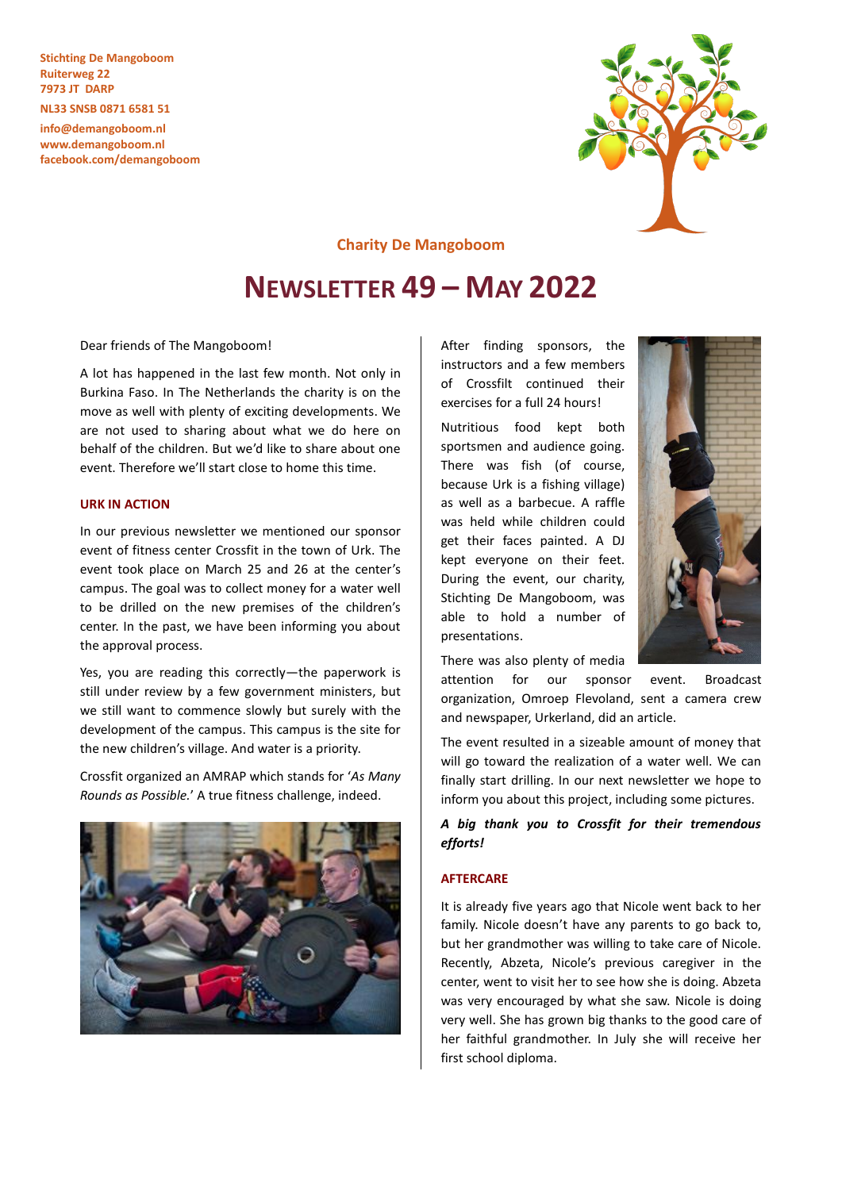**Stichting De Mangoboom Ruiterweg 22 7973 JT DARP**

**NL33 SNSB 0871 6581 51**

**info@demangoboom.nl www.demangoboom.nl facebook.com/demangoboom**



**Charity De Mangoboom**

# **NEWSLETTER 49 – MAY 2022**

Dear friends of The Mangoboom!

A lot has happened in the last few month. Not only in Burkina Faso. In The Netherlands the charity is on the move as well with plenty of exciting developments. We are not used to sharing about what we do here on behalf of the children. But we'd like to share about one event. Therefore we'll start close to home this time.

## **URK IN ACTION**

In our previous newsletter we mentioned our sponsor event of fitness center Crossfit in the town of Urk. The event took place on March 25 and 26 at the center's campus. The goal was to collect money for a water well to be drilled on the new premises of the children's center. In the past, we have been informing you about the approval process.

Yes, you are reading this correctly—the paperwork is still under review by a few government ministers, but we still want to commence slowly but surely with the development of the campus. This campus is the site for the new children's village. And water is a priority.

Crossfit organized an AMRAP which stands for '*As Many Rounds as Possible.*' A true fitness challenge, indeed.



After finding sponsors, the instructors and a few members of Crossfilt continued their exercises for a full 24 hours!

Nutritious food kept both sportsmen and audience going. There was fish (of course, because Urk is a fishing village) as well as a barbecue. A raffle was held while children could get their faces painted. A DJ kept everyone on their feet. During the event, our charity, Stichting De Mangoboom, was able to hold a number of presentations.

There was also plenty of media

attention for our sponsor event. Broadcast organization, Omroep Flevoland, sent a camera crew and newspaper, Urkerland, did an article.

The event resulted in a sizeable amount of money that will go toward the realization of a water well. We can finally start drilling. In our next newsletter we hope to inform you about this project, including some pictures.

## *A big thank you to Crossfit for their tremendous efforts!*

#### **AFTERCARE**

It is already five years ago that Nicole went back to her family. Nicole doesn't have any parents to go back to, but her grandmother was willing to take care of Nicole. Recently, Abzeta, Nicole's previous caregiver in the center, went to visit her to see how she is doing. Abzeta was very encouraged by what she saw. Nicole is doing very well. She has grown big thanks to the good care of her faithful grandmother. In July she will receive her first school diploma.